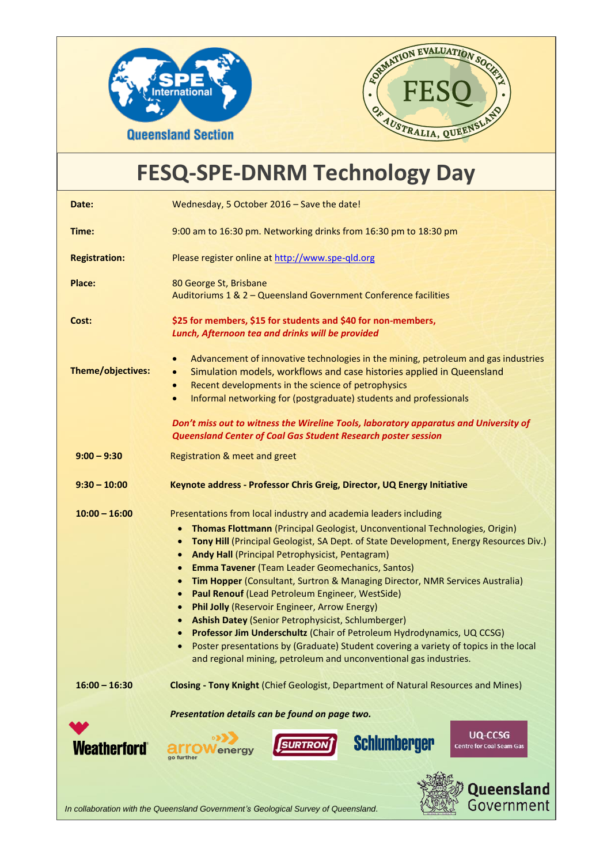



## **FESQ-SPE-DNRM Technology Day**

| Date:                                                                                            | Wednesday, 5 October 2016 - Save the date!                                                                                                                                                                                                                                                                                                                                                                                                                                                                                                                                                                                                                                                                                                                                                                                                                                                                                                                                             |
|--------------------------------------------------------------------------------------------------|----------------------------------------------------------------------------------------------------------------------------------------------------------------------------------------------------------------------------------------------------------------------------------------------------------------------------------------------------------------------------------------------------------------------------------------------------------------------------------------------------------------------------------------------------------------------------------------------------------------------------------------------------------------------------------------------------------------------------------------------------------------------------------------------------------------------------------------------------------------------------------------------------------------------------------------------------------------------------------------|
| Time:                                                                                            | 9:00 am to 16:30 pm. Networking drinks from 16:30 pm to 18:30 pm                                                                                                                                                                                                                                                                                                                                                                                                                                                                                                                                                                                                                                                                                                                                                                                                                                                                                                                       |
| <b>Registration:</b>                                                                             | Please register online at http://www.spe-qld.org                                                                                                                                                                                                                                                                                                                                                                                                                                                                                                                                                                                                                                                                                                                                                                                                                                                                                                                                       |
| Place:                                                                                           | 80 George St, Brisbane<br>Auditoriums 1 & 2 - Queensland Government Conference facilities                                                                                                                                                                                                                                                                                                                                                                                                                                                                                                                                                                                                                                                                                                                                                                                                                                                                                              |
| Cost:                                                                                            | \$25 for members, \$15 for students and \$40 for non-members,<br>Lunch, Afternoon tea and drinks will be provided                                                                                                                                                                                                                                                                                                                                                                                                                                                                                                                                                                                                                                                                                                                                                                                                                                                                      |
| Theme/objectives:                                                                                | Advancement of innovative technologies in the mining, petroleum and gas industries<br>$\bullet$<br>Simulation models, workflows and case histories applied in Queensland<br>$\bullet$<br>Recent developments in the science of petrophysics<br>$\bullet$<br>Informal networking for (postgraduate) students and professionals<br>$\bullet$                                                                                                                                                                                                                                                                                                                                                                                                                                                                                                                                                                                                                                             |
|                                                                                                  | Don't miss out to witness the Wireline Tools, laboratory apparatus and University of<br><b>Queensland Center of Coal Gas Student Research poster session</b>                                                                                                                                                                                                                                                                                                                                                                                                                                                                                                                                                                                                                                                                                                                                                                                                                           |
| $9:00 - 9:30$                                                                                    | Registration & meet and greet                                                                                                                                                                                                                                                                                                                                                                                                                                                                                                                                                                                                                                                                                                                                                                                                                                                                                                                                                          |
| $9:30 - 10:00$                                                                                   | Keynote address - Professor Chris Greig, Director, UQ Energy Initiative                                                                                                                                                                                                                                                                                                                                                                                                                                                                                                                                                                                                                                                                                                                                                                                                                                                                                                                |
| $10:00 - 16:00$                                                                                  | Presentations from local industry and academia leaders including<br>Thomas Flottmann (Principal Geologist, Unconventional Technologies, Origin)<br>$\bullet$<br>Tony Hill (Principal Geologist, SA Dept. of State Development, Energy Resources Div.)<br>$\bullet$<br>Andy Hall (Principal Petrophysicist, Pentagram)<br>$\bullet$<br><b>Emma Tavener (Team Leader Geomechanics, Santos)</b><br>$\bullet$<br>Tim Hopper (Consultant, Surtron & Managing Director, NMR Services Australia)<br>$\bullet$<br>Paul Renouf (Lead Petroleum Engineer, WestSide)<br>$\bullet$<br><b>Phil Jolly (Reservoir Engineer, Arrow Energy)</b><br>$\bullet$<br><b>Ashish Datey (Senior Petrophysicist, Schlumberger)</b><br>$\bullet$<br>Professor Jim Underschultz (Chair of Petroleum Hydrodynamics, UQ CCSG)<br>$\bullet$<br>Poster presentations by (Graduate) Student covering a variety of topics in the local<br>$\bullet$<br>and regional mining, petroleum and unconventional gas industries. |
| $16:00 - 16:30$                                                                                  | <b>Closing - Tony Knight (Chief Geologist, Department of Natural Resources and Mines)</b>                                                                                                                                                                                                                                                                                                                                                                                                                                                                                                                                                                                                                                                                                                                                                                                                                                                                                              |
| <b>Weatherford</b>                                                                               | Presentation details can be found on page two.<br>UQ-CCSG<br>Schlumberger<br>SURTRON<br><b>Centre for Coal Seam Gas</b><br>Queensland                                                                                                                                                                                                                                                                                                                                                                                                                                                                                                                                                                                                                                                                                                                                                                                                                                                  |
| Government<br>In collaboration with the Queensland Government's Geological Survey of Queensland. |                                                                                                                                                                                                                                                                                                                                                                                                                                                                                                                                                                                                                                                                                                                                                                                                                                                                                                                                                                                        |